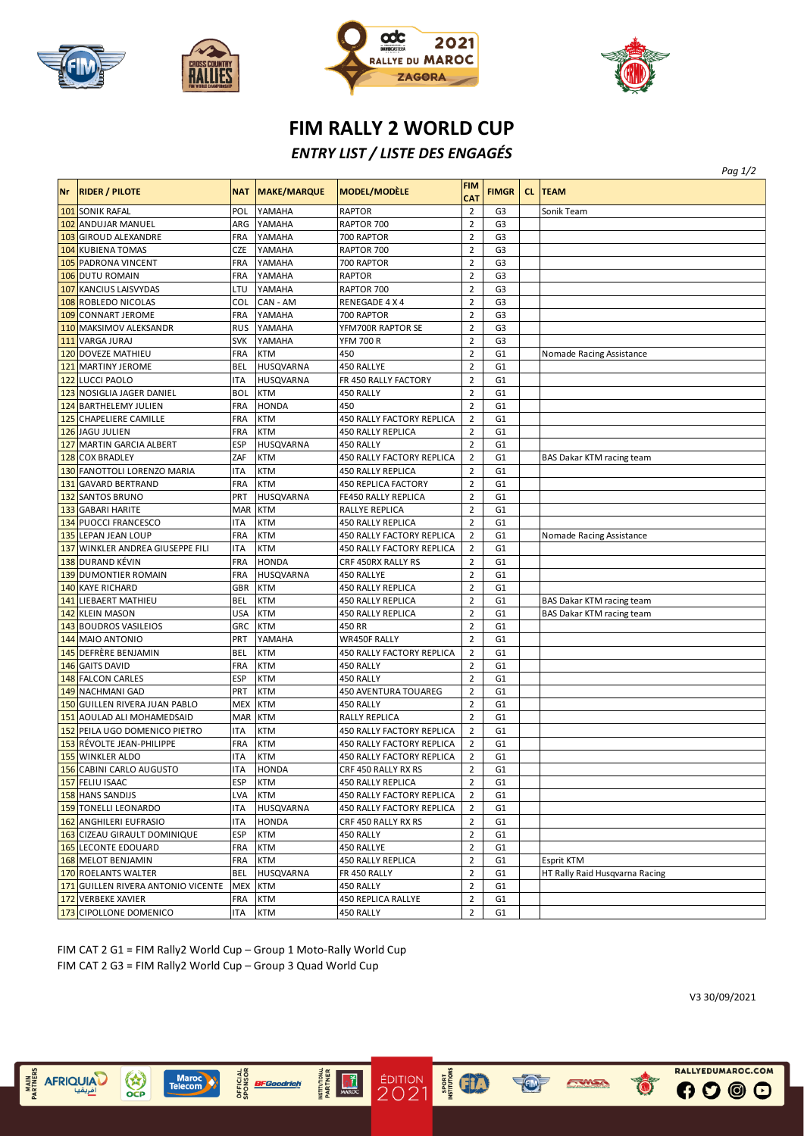







## **FIM RALLY 2 WORLD CUP**

## *ENTRY LIST / LISTE DES ENGAGÉS*

| <b>FIM RALLY 2 WORLD CUP</b> |                                    |            |                    |                                       |                          |                |  |                                |  |
|------------------------------|------------------------------------|------------|--------------------|---------------------------------------|--------------------------|----------------|--|--------------------------------|--|
|                              |                                    |            |                    | <b>ENTRY LIST / LISTE DES ENGAGÉS</b> |                          |                |  |                                |  |
|                              |                                    |            |                    |                                       |                          |                |  | Pag 1/2                        |  |
| <b>Nr</b>                    | <b>RIDER / PILOTE</b>              | <b>NAT</b> | <b>MAKE/MARQUE</b> | <b>MODEL/MODÈLE</b>                   | <b>FIM</b><br><b>CAT</b> | <b>FIMGR</b>   |  | <b>CL TEAM</b>                 |  |
|                              | 101 SONIK RAFAL                    | POL        | YAMAHA             | <b>RAPTOR</b>                         | $\overline{2}$           | G3             |  | Sonik Team                     |  |
|                              | 102 ANDUJAR MANUEL                 | ARG        | YAMAHA             | RAPTOR 700                            | $\overline{2}$           | G3             |  |                                |  |
|                              | 103 GIROUD ALEXANDRE               | FRA        | YAMAHA             | 700 RAPTOR                            | $\overline{2}$           | G <sub>3</sub> |  |                                |  |
|                              | <b>104 KUBIENA TOMAS</b>           | <b>CZE</b> | YAMAHA             | RAPTOR 700                            | $\overline{2}$           | G <sub>3</sub> |  |                                |  |
|                              | 105 PADRONA VINCENT                | <b>FRA</b> | YAMAHA             | 700 RAPTOR                            | $\overline{2}$           | G <sub>3</sub> |  |                                |  |
|                              | 106 DUTU ROMAIN                    | <b>FRA</b> | YAMAHA             | <b>RAPTOR</b>                         | $\overline{2}$           | G <sub>3</sub> |  |                                |  |
|                              | 107 KANCIUS LAISVYDAS              | LTU        | YAMAHA             | RAPTOR 700                            | $\overline{2}$           | G3             |  |                                |  |
|                              | 108 ROBLEDO NICOLAS                | COL        | CAN - AM           | RENEGADE 4 X 4                        | $\mathbf 2$              | G3             |  |                                |  |
|                              | 109 CONNART JEROME                 | <b>FRA</b> | YAMAHA             | 700 RAPTOR                            | $\overline{2}$           | G <sub>3</sub> |  |                                |  |
|                              | 110 MAKSIMOV ALEKSANDR             | <b>RUS</b> | YAMAHA             | YFM700R RAPTOR SE                     | $\overline{2}$           | G3             |  |                                |  |
|                              | 111 VARGA JURAJ                    | <b>SVK</b> | YAMAHA             | <b>YFM 700 R</b>                      | $\overline{2}$           | G <sub>3</sub> |  |                                |  |
|                              | 120 DOVEZE MATHIEU                 | <b>FRA</b> | <b>KTM</b>         | 450                                   | $\overline{2}$           | G1             |  | Nomade Racing Assistance       |  |
|                              | 121 MARTINY JEROME                 | BEL        | HUSQVARNA          | 450 RALLYE                            | $\overline{2}$           | G <sub>1</sub> |  |                                |  |
|                              | 122 LUCCI PAOLO                    | ITA        | <b>HUSQVARNA</b>   | FR 450 RALLY FACTORY                  | $\overline{2}$           | G <sub>1</sub> |  |                                |  |
|                              | 123 NOSIGLIA JAGER DANIEL          | <b>BOL</b> | <b>KTM</b>         | 450 RALLY                             | $\overline{2}$           | G <sub>1</sub> |  |                                |  |
|                              | 124 BARTHELEMY JULIEN              | <b>FRA</b> | <b>HONDA</b>       | 450                                   | $\overline{2}$           | G <sub>1</sub> |  |                                |  |
|                              | 125 CHAPELIERE CAMILLE             | <b>FRA</b> | <b>KTM</b>         | 450 RALLY FACTORY REPLICA             | $\overline{2}$           | G <sub>1</sub> |  |                                |  |
|                              | 126 JAGU JULIEN                    | <b>FRA</b> | <b>KTM</b>         | 450 RALLY REPLICA                     | $\overline{2}$           | G <sub>1</sub> |  |                                |  |
|                              | 127 MARTIN GARCIA ALBERT           | <b>ESP</b> | HUSQVARNA          | 450 RALLY                             | $\overline{2}$           | G <sub>1</sub> |  |                                |  |
|                              | 128 COX BRADLEY                    | ZAF        | <b>KTM</b>         | 450 RALLY FACTORY REPLICA             | $\overline{2}$           | G1             |  | BAS Dakar KTM racing team      |  |
|                              | 130 FANOTTOLI LORENZO MARIA        | <b>ITA</b> | <b>KTM</b>         | 450 RALLY REPLICA                     | $\overline{2}$           | G <sub>1</sub> |  |                                |  |
|                              | 131 GAVARD BERTRAND                | <b>FRA</b> | <b>KTM</b>         | 450 REPLICA FACTORY                   | $\mathbf 2$              | G <sub>1</sub> |  |                                |  |
|                              | 132 SANTOS BRUNO                   | PRT        | <b>HUSQVARNA</b>   | FE450 RALLY REPLICA                   | $\overline{2}$           | G <sub>1</sub> |  |                                |  |
|                              | 133 GABARI HARITE                  | <b>MAR</b> | <b>KTM</b>         | RALLYE REPLICA                        | $\overline{2}$           | G <sub>1</sub> |  |                                |  |
|                              | 134 PUOCCI FRANCESCO               | ITA        | <b>KTM</b>         | 450 RALLY REPLICA                     | $\overline{2}$           | G <sub>1</sub> |  |                                |  |
|                              | 135 LEPAN JEAN LOUP                | <b>FRA</b> | <b>KTM</b>         | 450 RALLY FACTORY REPLICA             | $\overline{2}$           | G <sub>1</sub> |  | Nomade Racing Assistance       |  |
|                              | 137 WINKLER ANDREA GIUSEPPE FILI   | <b>ITA</b> | <b>KTM</b>         | 450 RALLY FACTORY REPLICA             | $\mathbf 2$              | G1             |  |                                |  |
|                              | 138 DURAND KÉVIN                   | FRA        | <b>HONDA</b>       | CRF 450RX RALLY RS                    | $\overline{2}$           | G <sub>1</sub> |  |                                |  |
|                              | 139 DUMONTIER ROMAIN               | <b>FRA</b> | <b>HUSQVARNA</b>   | 450 RALLYE                            | $\overline{2}$           | G <sub>1</sub> |  |                                |  |
|                              | 140 KAYE RICHARD                   | <b>GBR</b> | <b>KTM</b>         | 450 RALLY REPLICA                     | $\overline{2}$           | G <sub>1</sub> |  |                                |  |
|                              | <b>141 LIEBAERT MATHIEU</b>        | <b>BEL</b> | <b>KTM</b>         | <b>450 RALLY REPLICA</b>              | $\overline{2}$           | G <sub>1</sub> |  | BAS Dakar KTM racing team      |  |
|                              | 142 KLEIN MASON                    | USA        | <b>KTM</b>         | 450 RALLY REPLICA                     | $\overline{2}$           | G1             |  | BAS Dakar KTM racing team      |  |
|                              | 143 BOUDROS VASILEIOS              | GRC        | <b>KTM</b>         | 450 RR                                | $\overline{2}$           | G <sub>1</sub> |  |                                |  |
|                              | 144 MAIO ANTONIO                   | PRT        | YAMAHA             | WR450F RALLY                          | $\overline{2}$           | G <sub>1</sub> |  |                                |  |
|                              | 145 DEFRÈRE BENJAMIN               | <b>BEL</b> | <b>KTM</b>         | 450 RALLY FACTORY REPLICA             | $\overline{2}$           | G <sub>1</sub> |  |                                |  |
|                              | 146 GAITS DAVID                    | <b>FRA</b> | KTM                | 450 RALLY                             | $\overline{2}$           | G <sub>1</sub> |  |                                |  |
|                              | 148 FALCON CARLES                  | <b>ESP</b> | <b>KTM</b>         | 450 RALLY                             | $\overline{2}$           | G1             |  |                                |  |
|                              | 149 NACHMANI GAD                   | PRT        | <b>KTM</b>         | 450 AVENTURA TOUAREG                  | $\overline{2}$           | G1             |  |                                |  |
|                              | 150 GUILLEN RIVERA JUAN PABLO      | MEX        | <b>KTM</b>         | 450 RALLY                             | $\overline{2}$           | G1             |  |                                |  |
|                              | 151 AOULAD ALI MOHAMEDSAID         | <b>MAR</b> | <b>KTM</b>         | RALLY REPLICA                         | $\overline{2}$           | G <sub>1</sub> |  |                                |  |
|                              | 152 PEILA UGO DOMENICO PIETRO      | <b>ITA</b> | <b>KTM</b>         | 450 RALLY FACTORY REPLICA             | $\overline{2}$           | G1             |  |                                |  |
|                              | 153 RÉVOLTE JEAN-PHILIPPE          | <b>FRA</b> | <b>KTM</b>         | 450 RALLY FACTORY REPLICA             | $\overline{2}$           | G1             |  |                                |  |
|                              | 155 WINKLER ALDO                   | ITA        | <b>KTM</b>         | 450 RALLY FACTORY REPLICA             | $\overline{2}$           | G1             |  |                                |  |
|                              | 156 CABINI CARLO AUGUSTO           | ITA        | <b>HONDA</b>       | CRF 450 RALLY RX RS                   | $\overline{2}$           | G1             |  |                                |  |
|                              | 157 FELIU ISAAC                    | <b>ESP</b> | <b>KTM</b>         | 450 RALLY REPLICA                     | $\mathbf 2$              | G1             |  |                                |  |
|                              | 158 HANS SANDIJS                   | LVA        | <b>KTM</b>         | 450 RALLY FACTORY REPLICA             | 2                        | G1             |  |                                |  |
|                              | 159 TONELLI LEONARDO               | <b>ITA</b> | <b>HUSQVARNA</b>   | 450 RALLY FACTORY REPLICA             | $\mathbf 2$              | G1             |  |                                |  |
|                              | 162 ANGHILERI EUFRASIO             | ITA        | <b>HONDA</b>       | CRF 450 RALLY RX RS                   | $\mathbf 2$              | G1             |  |                                |  |
|                              | 163 CIZEAU GIRAULT DOMINIQUE       | <b>ESP</b> | <b>KTM</b>         | 450 RALLY                             | $\overline{2}$           | G1             |  |                                |  |
|                              | 165 LECONTE EDOUARD                | <b>FRA</b> | <b>KTM</b>         | 450 RALLYE                            | $\mathbf 2$              | G1             |  |                                |  |
|                              | 168 MELOT BENJAMIN                 | FRA        | <b>KTM</b>         | 450 RALLY REPLICA                     | $\overline{2}$           | G1             |  | <b>Esprit KTM</b>              |  |
|                              | 170 ROELANTS WALTER                | <b>BEL</b> | <b>HUSQVARNA</b>   | FR 450 RALLY                          | $\overline{2}$           | G1             |  | HT Rally Raid Husqvarna Racing |  |
|                              | 171 GUILLEN RIVERA ANTONIO VICENTE | <b>MEX</b> | <b>KTM</b>         | 450 RALLY                             | $\overline{2}$           | G1             |  |                                |  |
|                              | 172 VERBEKE XAVIER                 | <b>FRA</b> | <b>KTM</b>         | 450 REPLICA RALLYE                    | $\overline{2}$           | G1             |  |                                |  |
|                              | 173 CIPOLLONE DOMENICO             | ITA        | <b>KTM</b>         | 450 RALLY                             | $\overline{2}$           | G1             |  |                                |  |

**EXAMINE SERVICE** 

FWSA

 $\ddot{\bullet}$ 

FIM CAT 2 G1 = FIM Rally2 World Cup – Group 1 Moto-Rally World Cup FIM CAT 2 G3 = FIM Rally2 World Cup – Group 3 Quad World Cup

OFFICIAL<br>SPONSOR

**BFGoodrich** 

MAIN<br>ARTNERS

AFRIQUIA

 $\begin{pmatrix} 1 \\ 0 \\ 0 \end{pmatrix}$ 

Marc<br>Teleco

**INSTITUTIONAL**<br>PARTNER

 $\frac{1}{2}$ 

ÉDITION<br>2021

V3 30/09/2021

RALLYEDUMAROC.COM